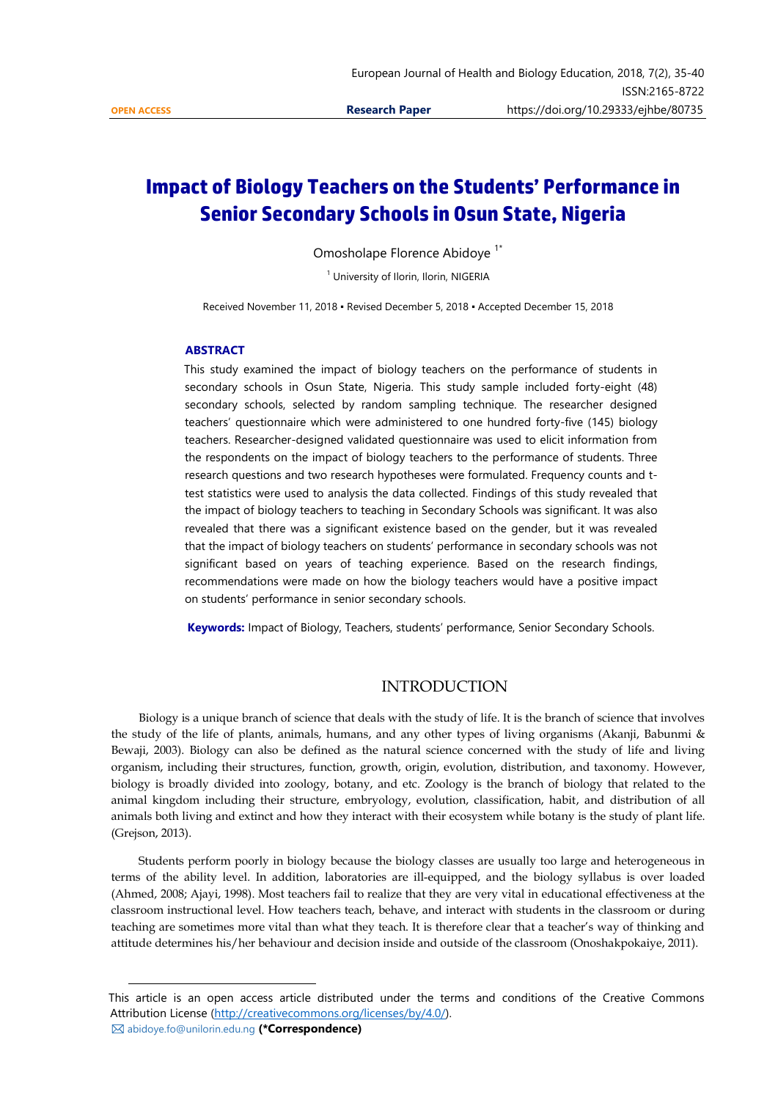$\overline{a}$ 

# **Impact of Biology Teachers on the Students' Performance in Senior Secondary Schools in Osun State, Nigeria**

Omosholape Florence Abidoye<sup>1\*</sup>

<sup>1</sup> University of Ilorin, Ilorin, NIGERIA

Received November 11, 2018 ▪ Revised December 5, 2018 ▪ Accepted December 15, 2018

## **ABSTRACT**

This study examined the impact of biology teachers on the performance of students in secondary schools in Osun State, Nigeria. This study sample included forty-eight (48) secondary schools, selected by random sampling technique. The researcher designed teachers' questionnaire which were administered to one hundred forty-five (145) biology teachers. Researcher-designed validated questionnaire was used to elicit information from the respondents on the impact of biology teachers to the performance of students. Three research questions and two research hypotheses were formulated. Frequency counts and ttest statistics were used to analysis the data collected. Findings of this study revealed that the impact of biology teachers to teaching in Secondary Schools was significant. It was also revealed that there was a significant existence based on the gender, but it was revealed that the impact of biology teachers on students' performance in secondary schools was not significant based on years of teaching experience. Based on the research findings, recommendations were made on how the biology teachers would have a positive impact on students' performance in senior secondary schools.

**Keywords:** Impact of Biology, Teachers, students' performance, Senior Secondary Schools.

# INTRODUCTION

 Biology is a unique branch of science that deals with the study of life. It is the branch of science that involves the study of the life of plants, animals, humans, and any other types of living organisms (Akanji, Babunmi & Bewaji, 2003). Biology can also be defined as the natural science concerned with the study of life and living organism, including their structures, function, growth, origin, evolution, distribution, and taxonomy. However, biology is broadly divided into zoology, botany, and etc. Zoology is the branch of biology that related to the animal kingdom including their structure, embryology, evolution, classification, habit, and distribution of all animals both living and extinct and how they interact with their ecosystem while botany is the study of plant life. (Grejson, 2013).

 Students perform poorly in biology because the biology classes are usually too large and heterogeneous in terms of the ability level. In addition, laboratories are ill-equipped, and the biology syllabus is over loaded (Ahmed, 2008; Ajayi, 1998). Most teachers fail to realize that they are very vital in educational effectiveness at the classroom instructional level. How teachers teach, behave, and interact with students in the classroom or during teaching are sometimes more vital than what they teach. It is therefore clear that a teacher's way of thinking and attitude determines his/her behaviour and decision inside and outside of the classroom (Onoshakpokaiye, 2011).

This article is an open access article distributed under the terms and conditions of the Creative Commons Attribution License [\(http://creativecommons.org/licenses/by/4.0/\)](http://creativecommons.org/licenses/by/4.0/). abidoye.fo@unilorin.edu.ng **(\*Correspondence)**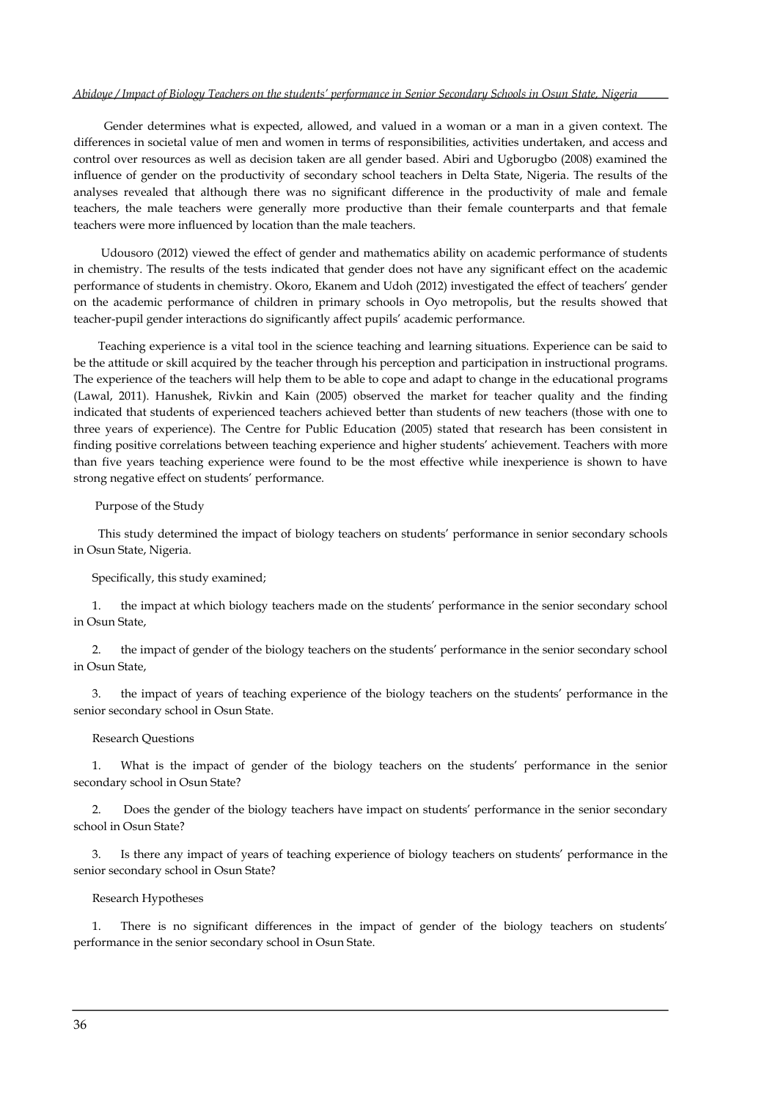#### *Abidoye / Impact of Biology Teachers on the students' performance in Senior Secondary Schools in Osun State, Nigeria*

 Gender determines what is expected, allowed, and valued in a woman or a man in a given context. The differences in societal value of men and women in terms of responsibilities, activities undertaken, and access and control over resources as well as decision taken are all gender based. Abiri and Ugborugbo (2008) examined the influence of gender on the productivity of secondary school teachers in Delta State, Nigeria. The results of the analyses revealed that although there was no significant difference in the productivity of male and female teachers, the male teachers were generally more productive than their female counterparts and that female teachers were more influenced by location than the male teachers.

 Udousoro (2012) viewed the effect of gender and mathematics ability on academic performance of students in chemistry. The results of the tests indicated that gender does not have any significant effect on the academic performance of students in chemistry. Okoro, Ekanem and Udoh (2012) investigated the effect of teachers' gender on the academic performance of children in primary schools in Oyo metropolis, but the results showed that teacher-pupil gender interactions do significantly affect pupils' academic performance.

 Teaching experience is a vital tool in the science teaching and learning situations. Experience can be said to be the attitude or skill acquired by the teacher through his perception and participation in instructional programs. The experience of the teachers will help them to be able to cope and adapt to change in the educational programs (Lawal, 2011). Hanushek, Rivkin and Kain (2005) observed the market for teacher quality and the finding indicated that students of experienced teachers achieved better than students of new teachers (those with one to three years of experience). The Centre for Public Education (2005) stated that research has been consistent in finding positive correlations between teaching experience and higher students' achievement. Teachers with more than five years teaching experience were found to be the most effective while inexperience is shown to have strong negative effect on students' performance.

Purpose of the Study

This study determined the impact of biology teachers on students' performance in senior secondary schools in Osun State, Nigeria.

Specifically, this study examined;

1. the impact at which biology teachers made on the students' performance in the senior secondary school in Osun State,

2. the impact of gender of the biology teachers on the students' performance in the senior secondary school in Osun State,

3. the impact of years of teaching experience of the biology teachers on the students' performance in the senior secondary school in Osun State.

#### Research Questions

What is the impact of gender of the biology teachers on the students' performance in the senior secondary school in Osun State?

2. Does the gender of the biology teachers have impact on students' performance in the senior secondary school in Osun State?

Is there any impact of years of teaching experience of biology teachers on students' performance in the senior secondary school in Osun State?

#### Research Hypotheses

1. There is no significant differences in the impact of gender of the biology teachers on students' performance in the senior secondary school in Osun State.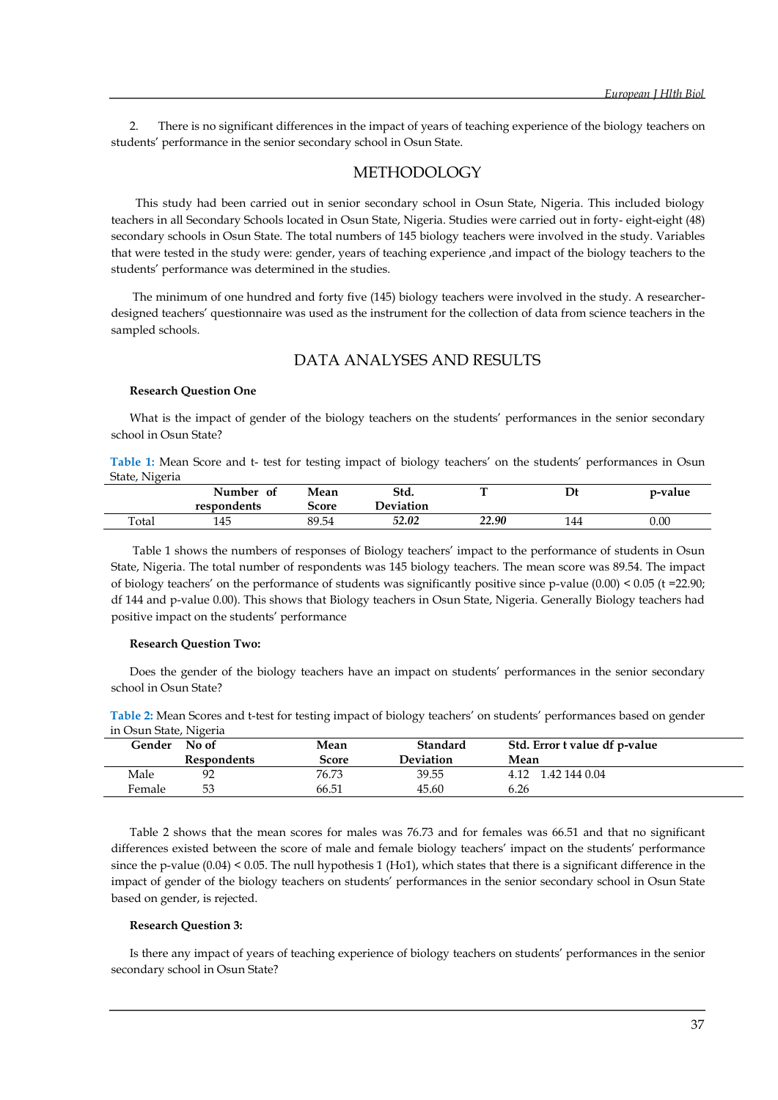2. There is no significant differences in the impact of years of teaching experience of the biology teachers on students' performance in the senior secondary school in Osun State.

# METHODOLOGY

 This study had been carried out in senior secondary school in Osun State, Nigeria. This included biology teachers in all Secondary Schools located in Osun State, Nigeria. Studies were carried out in forty- eight-eight (48) secondary schools in Osun State. The total numbers of 145 biology teachers were involved in the study. Variables that were tested in the study were: gender, years of teaching experience ,and impact of the biology teachers to the students' performance was determined in the studies.

The minimum of one hundred and forty five (145) biology teachers were involved in the study. A researcherdesigned teachers' questionnaire was used as the instrument for the collection of data from science teachers in the sampled schools.

## DATA ANALYSES AND RESULTS

#### **Research Question One**

What is the impact of gender of the biology teachers on the students' performances in the senior secondary school in Osun State?

**Table 1:** Mean Score and t- test for testing impact of biology teachers' on the students' performances in Osun State, Nigeria

|       | Number<br>0t | Mean         | Std.      | -     | Dt  | p-value  |
|-------|--------------|--------------|-----------|-------|-----|----------|
|       | respondents  | <b>Score</b> | Deviation |       |     |          |
| Total | 145          | 89.54        | 52.02     | 22.90 | 144 | $0.00\,$ |

Table 1 shows the numbers of responses of Biology teachers' impact to the performance of students in Osun State, Nigeria. The total number of respondents was 145 biology teachers. The mean score was 89.54. The impact of biology teachers' on the performance of students was significantly positive since p-value  $(0.00)$  < 0.05 (t = 22.90; df 144 and p-value 0.00). This shows that Biology teachers in Osun State, Nigeria. Generally Biology teachers had positive impact on the students' performance

#### **Research Question Two:**

Does the gender of the biology teachers have an impact on students' performances in the senior secondary school in Osun State?

| in Osun State, Nigeria |                    |       |                  |                               |  |  |  |
|------------------------|--------------------|-------|------------------|-------------------------------|--|--|--|
|                        | Gender No of       | Mean  | <b>Standard</b>  | Std. Error t value df p-value |  |  |  |
|                        | <b>Respondents</b> | Score | <b>Deviation</b> | Mean                          |  |  |  |
| Male                   | 92                 | 76.73 | 39.55            | 1.42 144 0.04<br>4.12         |  |  |  |

**Table 2:** Mean Scores and t-test for testing impact of biology teachers' on students' performances based on gender in Osun State, Nigeria

Female 53 66.51 45.60 6.26

Table 2 shows that the mean scores for males was 76.73 and for females was 66.51 and that no significant differences existed between the score of male and female biology teachers' impact on the students' performance since the p-value  $(0.04)$  < 0.05. The null hypothesis 1 (Ho1), which states that there is a significant difference in the impact of gender of the biology teachers on students' performances in the senior secondary school in Osun State based on gender, is rejected.

#### **Research Question 3:**

Is there any impact of years of teaching experience of biology teachers on students' performances in the senior secondary school in Osun State?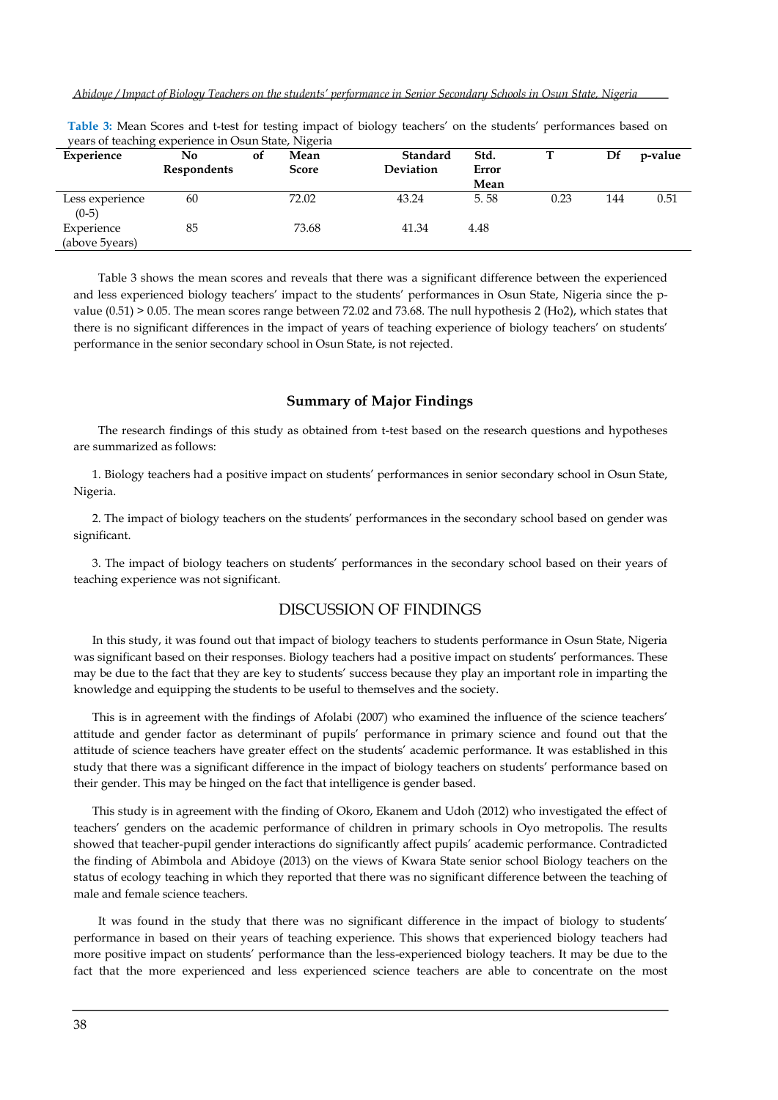*Abidoye / Impact of Biology Teachers on the students' performance in Senior Secondary Schools in Osun State, Nigeria*

|                              | years of teaching experience in Osun Jiate, inigeria |    |              |           |       |      |     |         |
|------------------------------|------------------------------------------------------|----|--------------|-----------|-------|------|-----|---------|
| Experience                   | No                                                   | 0f | Mean         | Standard  | Std.  |      | Df  | p-value |
|                              | <b>Respondents</b>                                   |    | <b>Score</b> | Deviation | Error |      |     |         |
|                              |                                                      |    |              |           | Mean  |      |     |         |
| Less experience<br>$(0-5)$   | 60                                                   |    | 72.02        | 43.24     | 5.58  | 0.23 | 144 | 0.51    |
| Experience<br>(above 5years) | 85                                                   |    | 73.68        | 41.34     | 4.48  |      |     |         |

**Table 3:** Mean Scores and t-test for testing impact of biology teachers' on the students' performances based on years of teaching experience in Osun State, Nigeria

 Table 3 shows the mean scores and reveals that there was a significant difference between the experienced and less experienced biology teachers' impact to the students' performances in Osun State, Nigeria since the pvalue (0.51) > 0.05. The mean scores range between 72.02 and 73.68. The null hypothesis 2 (Ho2), which states that there is no significant differences in the impact of years of teaching experience of biology teachers' on students' performance in the senior secondary school in Osun State, is not rejected.

#### **Summary of Major Findings**

The research findings of this study as obtained from t-test based on the research questions and hypotheses are summarized as follows:

1. Biology teachers had a positive impact on students' performances in senior secondary school in Osun State, Nigeria.

2. The impact of biology teachers on the students' performances in the secondary school based on gender was significant.

3. The impact of biology teachers on students' performances in the secondary school based on their years of teaching experience was not significant.

# DISCUSSION OF FINDINGS

In this study, it was found out that impact of biology teachers to students performance in Osun State, Nigeria was significant based on their responses. Biology teachers had a positive impact on students' performances. These may be due to the fact that they are key to students' success because they play an important role in imparting the knowledge and equipping the students to be useful to themselves and the society.

This is in agreement with the findings of Afolabi (2007) who examined the influence of the science teachers' attitude and gender factor as determinant of pupils' performance in primary science and found out that the attitude of science teachers have greater effect on the students' academic performance. It was established in this study that there was a significant difference in the impact of biology teachers on students' performance based on their gender. This may be hinged on the fact that intelligence is gender based.

This study is in agreement with the finding of Okoro, Ekanem and Udoh (2012) who investigated the effect of teachers' genders on the academic performance of children in primary schools in Oyo metropolis. The results showed that teacher-pupil gender interactions do significantly affect pupils' academic performance. Contradicted the finding of Abimbola and Abidoye (2013) on the views of Kwara State senior school Biology teachers on the status of ecology teaching in which they reported that there was no significant difference between the teaching of male and female science teachers.

 It was found in the study that there was no significant difference in the impact of biology to students' performance in based on their years of teaching experience. This shows that experienced biology teachers had more positive impact on students' performance than the less-experienced biology teachers. It may be due to the fact that the more experienced and less experienced science teachers are able to concentrate on the most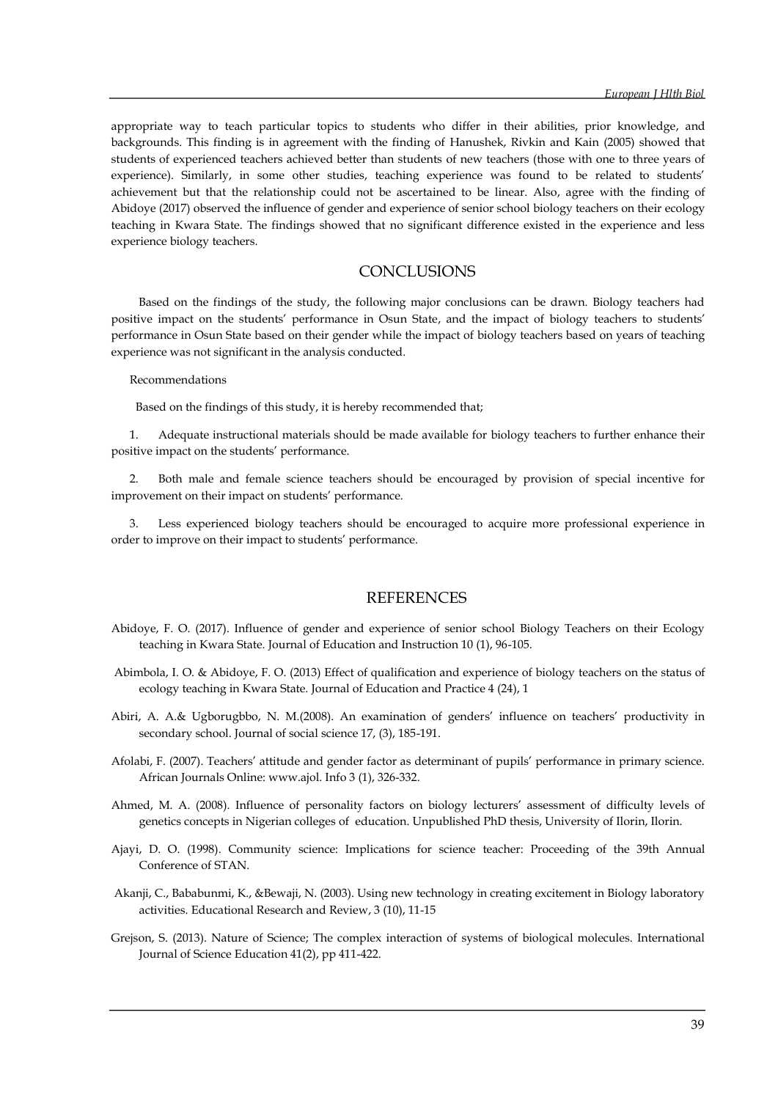appropriate way to teach particular topics to students who differ in their abilities, prior knowledge, and backgrounds. This finding is in agreement with the finding of Hanushek, Rivkin and Kain (2005) showed that students of experienced teachers achieved better than students of new teachers (those with one to three years of experience). Similarly, in some other studies, teaching experience was found to be related to students' achievement but that the relationship could not be ascertained to be linear. Also, agree with the finding of Abidoye (2017) observed the influence of gender and experience of senior school biology teachers on their ecology teaching in Kwara State. The findings showed that no significant difference existed in the experience and less experience biology teachers.

# **CONCLUSIONS**

 Based on the findings of the study, the following major conclusions can be drawn. Biology teachers had positive impact on the students' performance in Osun State, and the impact of biology teachers to students' performance in Osun State based on their gender while the impact of biology teachers based on years of teaching experience was not significant in the analysis conducted.

#### Recommendations

Based on the findings of this study, it is hereby recommended that;

1. Adequate instructional materials should be made available for biology teachers to further enhance their positive impact on the students' performance.

2. Both male and female science teachers should be encouraged by provision of special incentive for improvement on their impact on students' performance.

3. Less experienced biology teachers should be encouraged to acquire more professional experience in order to improve on their impact to students' performance.

## **REFERENCES**

- Abidoye, F. O. (2017). Influence of gender and experience of senior school Biology Teachers on their Ecology teaching in Kwara State. Journal of Education and Instruction 10 (1), 96-105.
- Abimbola, I. O. & Abidoye, F. O. (2013) Effect of qualification and experience of biology teachers on the status of ecology teaching in Kwara State. Journal of Education and Practice 4 (24), 1
- Abiri, A. A.& Ugborugbbo, N. M.(2008). An examination of genders' influence on teachers' productivity in secondary school. Journal of social science 17, (3), 185-191.
- Afolabi, F. (2007). Teachers' attitude and gender factor as determinant of pupils' performance in primary science. African Journals Online: www.ajol. Info 3 (1), 326-332.
- Ahmed, M. A. (2008). Influence of personality factors on biology lecturers' assessment of difficulty levels of genetics concepts in Nigerian colleges of education. Unpublished PhD thesis, University of Ilorin, Ilorin.
- Ajayi, D. O. (1998). Community science: Implications for science teacher: Proceeding of the 39th Annual Conference of STAN.
- Akanji, C., Bababunmi, K., &Bewaji, N. (2003). Using new technology in creating excitement in Biology laboratory activities. Educational Research and Review, 3 (10), 11-15
- Grejson, S. (2013). Nature of Science; The complex interaction of systems of biological molecules. International Journal of Science Education 41(2), pp 411-422.